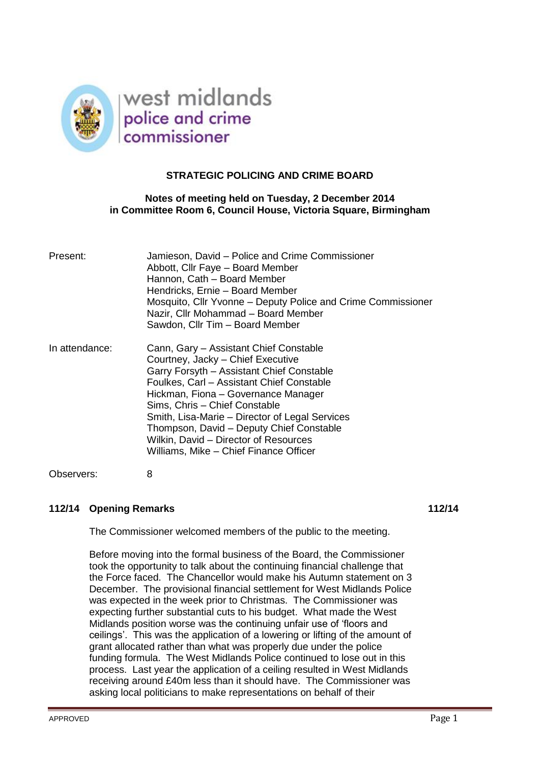

# **STRATEGIC POLICING AND CRIME BOARD**

# **Notes of meeting held on Tuesday, 2 December 2014 in Committee Room 6, Council House, Victoria Square, Birmingham**

| Present:       | Jamieson, David - Police and Crime Commissioner<br>Abbott, Cllr Faye - Board Member<br>Hannon, Cath - Board Member<br>Hendricks, Ernie - Board Member<br>Mosquito, Cllr Yvonne – Deputy Police and Crime Commissioner<br>Nazir, Cllr Mohammad - Board Member<br>Sawdon, Cllr Tim - Board Member                                                                                                                                |
|----------------|--------------------------------------------------------------------------------------------------------------------------------------------------------------------------------------------------------------------------------------------------------------------------------------------------------------------------------------------------------------------------------------------------------------------------------|
| In attendance: | Cann, Gary - Assistant Chief Constable<br>Courtney, Jacky - Chief Executive<br>Garry Forsyth - Assistant Chief Constable<br>Foulkes, Carl – Assistant Chief Constable<br>Hickman, Fiona - Governance Manager<br>Sims, Chris - Chief Constable<br>Smith, Lisa-Marie – Director of Legal Services<br>Thompson, David - Deputy Chief Constable<br>Wilkin, David - Director of Resources<br>Williams, Mike - Chief Finance Officer |
| Observers:     | 8                                                                                                                                                                                                                                                                                                                                                                                                                              |

# **112/14 Opening Remarks 112/14**

The Commissioner welcomed members of the public to the meeting.

Before moving into the formal business of the Board, the Commissioner took the opportunity to talk about the continuing financial challenge that the Force faced. The Chancellor would make his Autumn statement on 3 December. The provisional financial settlement for West Midlands Police was expected in the week prior to Christmas. The Commissioner was expecting further substantial cuts to his budget. What made the West Midlands position worse was the continuing unfair use of 'floors and ceilings'. This was the application of a lowering or lifting of the amount of grant allocated rather than what was properly due under the police funding formula. The West Midlands Police continued to lose out in this process. Last year the application of a ceiling resulted in West Midlands receiving around £40m less than it should have. The Commissioner was asking local politicians to make representations on behalf of their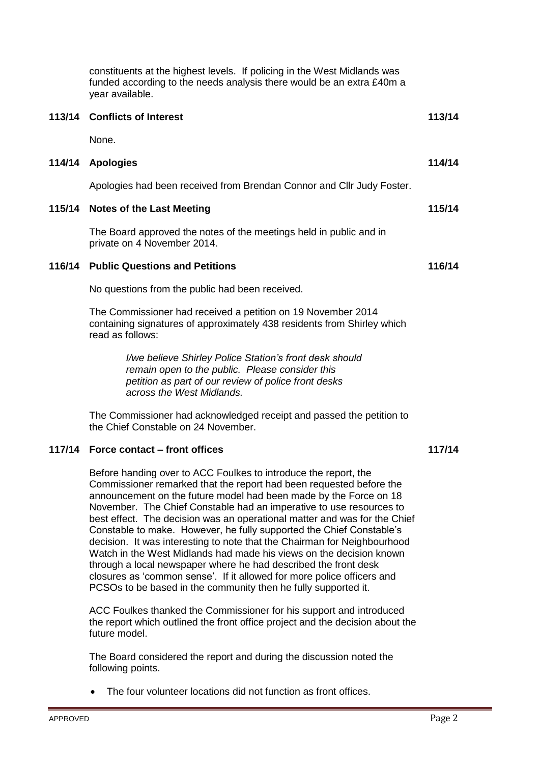|        | constituents at the highest levels. If policing in the West Midlands was<br>funded according to the needs analysis there would be an extra £40m a<br>year available.                                                                                                                                                                                                                                                                                                                                                                                                                                                                                                                                                                                                                                      |        |
|--------|-----------------------------------------------------------------------------------------------------------------------------------------------------------------------------------------------------------------------------------------------------------------------------------------------------------------------------------------------------------------------------------------------------------------------------------------------------------------------------------------------------------------------------------------------------------------------------------------------------------------------------------------------------------------------------------------------------------------------------------------------------------------------------------------------------------|--------|
|        | 113/14 Conflicts of Interest                                                                                                                                                                                                                                                                                                                                                                                                                                                                                                                                                                                                                                                                                                                                                                              | 113/14 |
|        | None.                                                                                                                                                                                                                                                                                                                                                                                                                                                                                                                                                                                                                                                                                                                                                                                                     |        |
| 114/14 | <b>Apologies</b>                                                                                                                                                                                                                                                                                                                                                                                                                                                                                                                                                                                                                                                                                                                                                                                          | 114/14 |
|        | Apologies had been received from Brendan Connor and Cllr Judy Foster.                                                                                                                                                                                                                                                                                                                                                                                                                                                                                                                                                                                                                                                                                                                                     |        |
| 115/14 | <b>Notes of the Last Meeting</b>                                                                                                                                                                                                                                                                                                                                                                                                                                                                                                                                                                                                                                                                                                                                                                          | 115/14 |
|        | The Board approved the notes of the meetings held in public and in<br>private on 4 November 2014.                                                                                                                                                                                                                                                                                                                                                                                                                                                                                                                                                                                                                                                                                                         |        |
| 116/14 | <b>Public Questions and Petitions</b>                                                                                                                                                                                                                                                                                                                                                                                                                                                                                                                                                                                                                                                                                                                                                                     | 116/14 |
|        | No questions from the public had been received.                                                                                                                                                                                                                                                                                                                                                                                                                                                                                                                                                                                                                                                                                                                                                           |        |
|        | The Commissioner had received a petition on 19 November 2014<br>containing signatures of approximately 438 residents from Shirley which<br>read as follows:                                                                                                                                                                                                                                                                                                                                                                                                                                                                                                                                                                                                                                               |        |
|        | I/we believe Shirley Police Station's front desk should<br>remain open to the public. Please consider this<br>petition as part of our review of police front desks<br>across the West Midlands.                                                                                                                                                                                                                                                                                                                                                                                                                                                                                                                                                                                                           |        |
|        | The Commissioner had acknowledged receipt and passed the petition to<br>the Chief Constable on 24 November.                                                                                                                                                                                                                                                                                                                                                                                                                                                                                                                                                                                                                                                                                               |        |
| 117/14 | Force contact – front offices                                                                                                                                                                                                                                                                                                                                                                                                                                                                                                                                                                                                                                                                                                                                                                             | 117/14 |
|        | Before handing over to ACC Foulkes to introduce the report, the<br>Commissioner remarked that the report had been requested before the<br>announcement on the future model had been made by the Force on 18<br>November. The Chief Constable had an imperative to use resources to<br>best effect. The decision was an operational matter and was for the Chief<br>Constable to make. However, he fully supported the Chief Constable's<br>decision. It was interesting to note that the Chairman for Neighbourhood<br>Watch in the West Midlands had made his views on the decision known<br>through a local newspaper where he had described the front desk<br>closures as 'common sense'. If it allowed for more police officers and<br>PCSOs to be based in the community then he fully supported it. |        |
|        | ACC Foulkes thanked the Commissioner for his support and introduced<br>the report which outlined the front office project and the decision about the<br>future model.                                                                                                                                                                                                                                                                                                                                                                                                                                                                                                                                                                                                                                     |        |

The Board considered the report and during the discussion noted the following points.

The four volunteer locations did not function as front offices.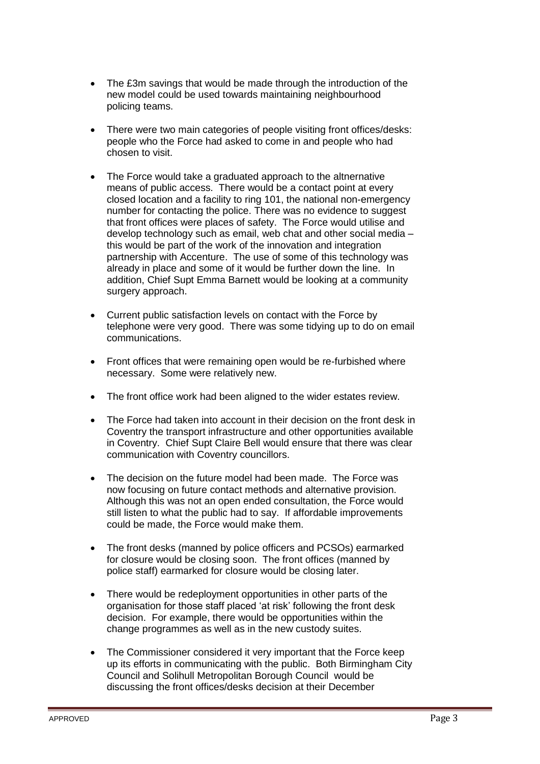- The £3m savings that would be made through the introduction of the new model could be used towards maintaining neighbourhood policing teams.
- There were two main categories of people visiting front offices/desks: people who the Force had asked to come in and people who had chosen to visit.
- The Force would take a graduated approach to the altnernative means of public access. There would be a contact point at every closed location and a facility to ring 101, the national non-emergency number for contacting the police. There was no evidence to suggest that front offices were places of safety. The Force would utilise and develop technology such as email, web chat and other social media – this would be part of the work of the innovation and integration partnership with Accenture. The use of some of this technology was already in place and some of it would be further down the line. In addition, Chief Supt Emma Barnett would be looking at a community surgery approach.
- Current public satisfaction levels on contact with the Force by telephone were very good. There was some tidying up to do on email communications.
- Front offices that were remaining open would be re-furbished where necessary. Some were relatively new.
- The front office work had been aligned to the wider estates review.
- The Force had taken into account in their decision on the front desk in Coventry the transport infrastructure and other opportunities available in Coventry. Chief Supt Claire Bell would ensure that there was clear communication with Coventry councillors.
- The decision on the future model had been made. The Force was now focusing on future contact methods and alternative provision. Although this was not an open ended consultation, the Force would still listen to what the public had to say. If affordable improvements could be made, the Force would make them.
- The front desks (manned by police officers and PCSOs) earmarked for closure would be closing soon. The front offices (manned by police staff) earmarked for closure would be closing later.
- There would be redeployment opportunities in other parts of the organisation for those staff placed 'at risk' following the front desk decision. For example, there would be opportunities within the change programmes as well as in the new custody suites.
- The Commissioner considered it very important that the Force keep up its efforts in communicating with the public. Both Birmingham City Council and Solihull Metropolitan Borough Council would be discussing the front offices/desks decision at their December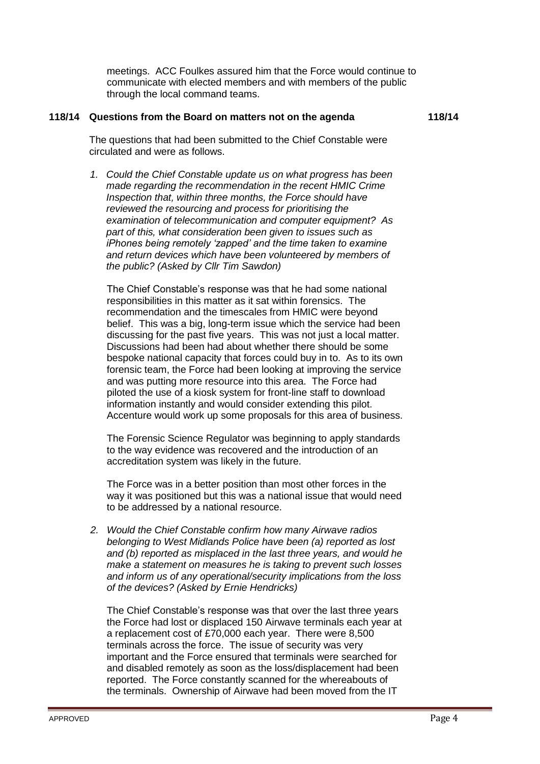meetings. ACC Foulkes assured him that the Force would continue to communicate with elected members and with members of the public through the local command teams.

#### **118/14 Questions from the Board on matters not on the agenda**

**118/14**

The questions that had been submitted to the Chief Constable were circulated and were as follows.

*1. Could the Chief Constable update us on what progress has been made regarding the recommendation in the recent HMIC Crime Inspection that, within three months, the Force should have reviewed the resourcing and process for prioritising the examination of telecommunication and computer equipment? As part of this, what consideration been given to issues such as iPhones being remotely 'zapped' and the time taken to examine and return devices which have been volunteered by members of the public? (Asked by Cllr Tim Sawdon)*

The Chief Constable's response was that he had some national responsibilities in this matter as it sat within forensics. The recommendation and the timescales from HMIC were beyond belief. This was a big, long-term issue which the service had been discussing for the past five years. This was not just a local matter. Discussions had been had about whether there should be some bespoke national capacity that forces could buy in to. As to its own forensic team, the Force had been looking at improving the service and was putting more resource into this area. The Force had piloted the use of a kiosk system for front-line staff to download information instantly and would consider extending this pilot. Accenture would work up some proposals for this area of business.

The Forensic Science Regulator was beginning to apply standards to the way evidence was recovered and the introduction of an accreditation system was likely in the future.

The Force was in a better position than most other forces in the way it was positioned but this was a national issue that would need to be addressed by a national resource.

*2. Would the Chief Constable confirm how many Airwave radios belonging to West Midlands Police have been (a) reported as lost and (b) reported as misplaced in the last three years, and would he make a statement on measures he is taking to prevent such losses and inform us of any operational/security implications from the loss of the devices? (Asked by Ernie Hendricks)*

The Chief Constable's response was that over the last three years the Force had lost or displaced 150 Airwave terminals each year at a replacement cost of £70,000 each year. There were 8,500 terminals across the force. The issue of security was very important and the Force ensured that terminals were searched for and disabled remotely as soon as the loss/displacement had been reported. The Force constantly scanned for the whereabouts of the terminals. Ownership of Airwave had been moved from the IT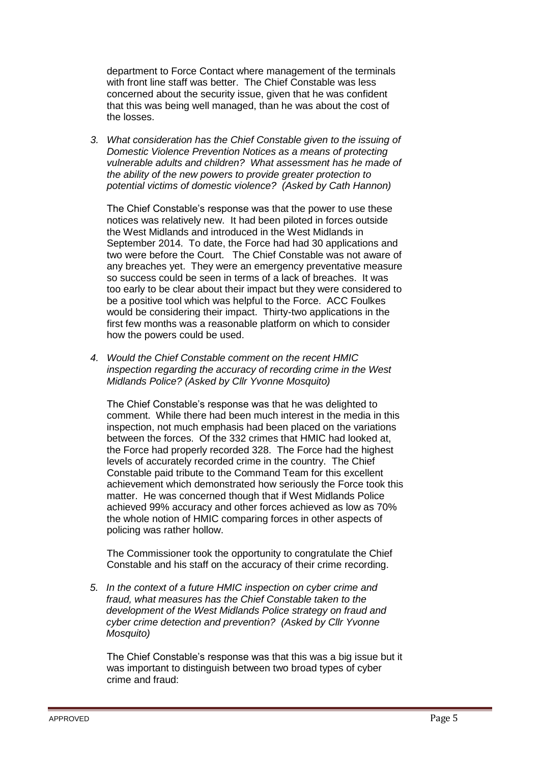department to Force Contact where management of the terminals with front line staff was better. The Chief Constable was less concerned about the security issue, given that he was confident that this was being well managed, than he was about the cost of the losses.

*3. What consideration has the Chief Constable given to the issuing of Domestic Violence Prevention Notices as a means of protecting vulnerable adults and children? What assessment has he made of the ability of the new powers to provide greater protection to potential victims of domestic violence? (Asked by Cath Hannon)*

The Chief Constable's response was that the power to use these notices was relatively new. It had been piloted in forces outside the West Midlands and introduced in the West Midlands in September 2014. To date, the Force had had 30 applications and two were before the Court. The Chief Constable was not aware of any breaches yet. They were an emergency preventative measure so success could be seen in terms of a lack of breaches. It was too early to be clear about their impact but they were considered to be a positive tool which was helpful to the Force. ACC Foulkes would be considering their impact. Thirty-two applications in the first few months was a reasonable platform on which to consider how the powers could be used.

*4. Would the Chief Constable comment on the recent HMIC inspection regarding the accuracy of recording crime in the West Midlands Police? (Asked by Cllr Yvonne Mosquito)*

The Chief Constable's response was that he was delighted to comment. While there had been much interest in the media in this inspection, not much emphasis had been placed on the variations between the forces. Of the 332 crimes that HMIC had looked at, the Force had properly recorded 328. The Force had the highest levels of accurately recorded crime in the country. The Chief Constable paid tribute to the Command Team for this excellent achievement which demonstrated how seriously the Force took this matter. He was concerned though that if West Midlands Police achieved 99% accuracy and other forces achieved as low as 70% the whole notion of HMIC comparing forces in other aspects of policing was rather hollow.

The Commissioner took the opportunity to congratulate the Chief Constable and his staff on the accuracy of their crime recording.

*5. In the context of a future HMIC inspection on cyber crime and fraud, what measures has the Chief Constable taken to the development of the West Midlands Police strategy on fraud and cyber crime detection and prevention? (Asked by Cllr Yvonne Mosquito)*

The Chief Constable's response was that this was a big issue but it was important to distinguish between two broad types of cyber crime and fraud: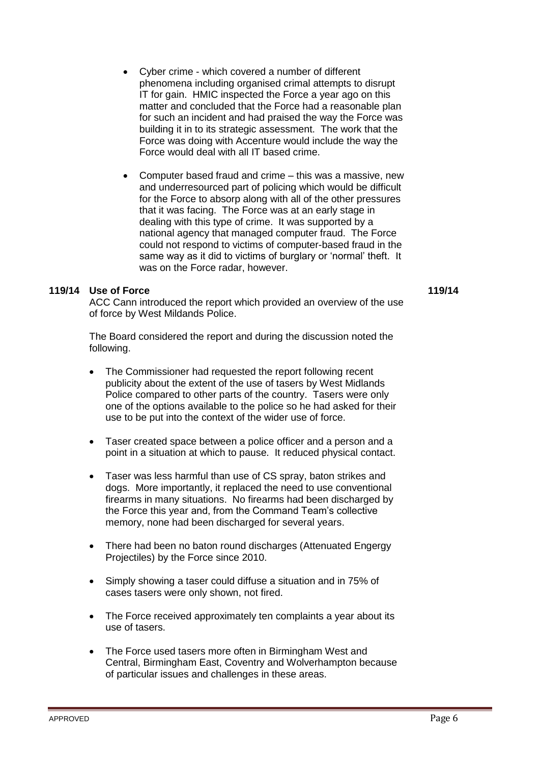- Cyber crime which covered a number of different phenomena including organised crimal attempts to disrupt IT for gain. HMIC inspected the Force a year ago on this matter and concluded that the Force had a reasonable plan for such an incident and had praised the way the Force was building it in to its strategic assessment. The work that the Force was doing with Accenture would include the way the Force would deal with all IT based crime.
- Computer based fraud and crime this was a massive, new and underresourced part of policing which would be difficult for the Force to absorp along with all of the other pressures that it was facing. The Force was at an early stage in dealing with this type of crime. It was supported by a national agency that managed computer fraud. The Force could not respond to victims of computer-based fraud in the same way as it did to victims of burglary or 'normal' theft. It was on the Force radar, however.

### **119/14 Use of Force**

ACC Cann introduced the report which provided an overview of the use of force by West Mildands Police.

The Board considered the report and during the discussion noted the following.

- The Commissioner had requested the report following recent publicity about the extent of the use of tasers by West Midlands Police compared to other parts of the country. Tasers were only one of the options available to the police so he had asked for their use to be put into the context of the wider use of force.
- Taser created space between a police officer and a person and a point in a situation at which to pause. It reduced physical contact.
- Taser was less harmful than use of CS spray, baton strikes and dogs. More importantly, it replaced the need to use conventional firearms in many situations. No firearms had been discharged by the Force this year and, from the Command Team's collective memory, none had been discharged for several years.
- There had been no baton round discharges (Attenuated Engergy Projectiles) by the Force since 2010.
- Simply showing a taser could diffuse a situation and in 75% of cases tasers were only shown, not fired.
- The Force received approximately ten complaints a year about its use of tasers.
- The Force used tasers more often in Birmingham West and Central, Birmingham East, Coventry and Wolverhampton because of particular issues and challenges in these areas.

**119/14**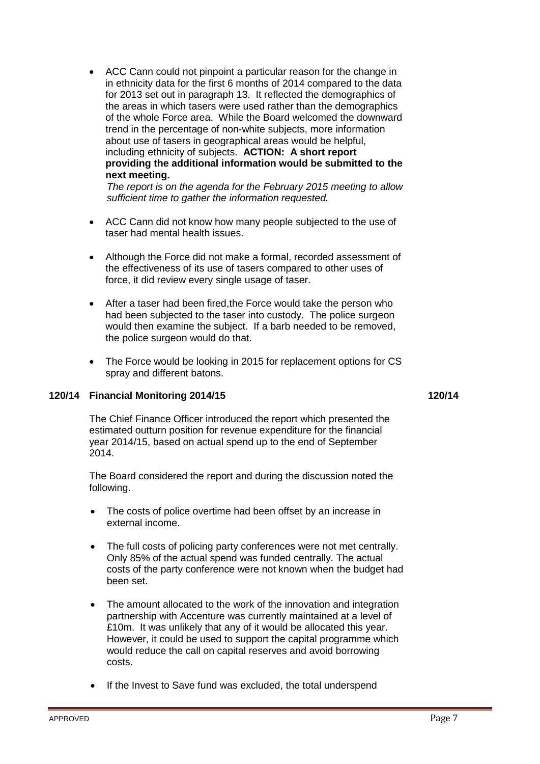ACC Cann could not pinpoint a particular reason for the change in in ethnicity data for the first 6 months of 2014 compared to the data for 2013 set out in paragraph 13. It reflected the demographics of the areas in which tasers were used rather than the demographics of the whole Force area. While the Board welcomed the downward trend in the percentage of non-white subjects, more information about use of tasers in geographical areas would be helpful, including ethnicity of subjects. **ACTION: A short report providing the additional information would be submitted to the next meeting.**

*The report is on the agenda for the February 2015 meeting to allow sufficient time to gather the information requested.*

- ACC Cann did not know how many people subjected to the use of taser had mental health issues.
- Although the Force did not make a formal, recorded assessment of the effectiveness of its use of tasers compared to other uses of force, it did review every single usage of taser.
- After a taser had been fired,the Force would take the person who had been subjected to the taser into custody. The police surgeon would then examine the subject. If a barb needed to be removed, the police surgeon would do that.
- The Force would be looking in 2015 for replacement options for CS spray and different batons.

# **120/14 Financial Monitoring 2014/15 120/14**

The Chief Finance Officer introduced the report which presented the estimated outturn position for revenue expenditure for the financial year 2014/15, based on actual spend up to the end of September 2014.

The Board considered the report and during the discussion noted the following.

- The costs of police overtime had been offset by an increase in external income.
- The full costs of policing party conferences were not met centrally. Only 85% of the actual spend was funded centrally. The actual costs of the party conference were not known when the budget had been set.
- The amount allocated to the work of the innovation and integration partnership with Accenture was currently maintained at a level of £10m. It was unlikely that any of it would be allocated this year. However, it could be used to support the capital programme which would reduce the call on capital reserves and avoid borrowing costs.
- If the Invest to Save fund was excluded, the total underspend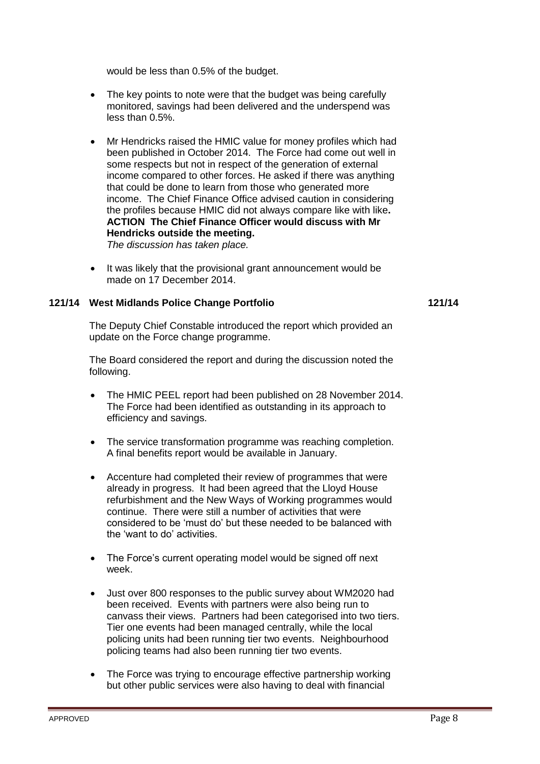would be less than 0.5% of the budget.

- The key points to note were that the budget was being carefully monitored, savings had been delivered and the underspend was less than 0.5%.
- Mr Hendricks raised the HMIC value for money profiles which had been published in October 2014. The Force had come out well in some respects but not in respect of the generation of external income compared to other forces. He asked if there was anything that could be done to learn from those who generated more income. The Chief Finance Office advised caution in considering the profiles because HMIC did not always compare like with like**. ACTION The Chief Finance Officer would discuss with Mr Hendricks outside the meeting.**  *The discussion has taken place.*
- It was likely that the provisional grant announcement would be made on 17 December 2014.

# **121/14 West Midlands Police Change Portfolio 121/14**

The Deputy Chief Constable introduced the report which provided an update on the Force change programme.

The Board considered the report and during the discussion noted the following.

- The HMIC PEEL report had been published on 28 November 2014. The Force had been identified as outstanding in its approach to efficiency and savings.
- The service transformation programme was reaching completion. A final benefits report would be available in January.
- Accenture had completed their review of programmes that were already in progress. It had been agreed that the Lloyd House refurbishment and the New Ways of Working programmes would continue. There were still a number of activities that were considered to be 'must do' but these needed to be balanced with the 'want to do' activities.
- The Force's current operating model would be signed off next week.
- Just over 800 responses to the public survey about WM2020 had been received. Events with partners were also being run to canvass their views. Partners had been categorised into two tiers. Tier one events had been managed centrally, while the local policing units had been running tier two events. Neighbourhood policing teams had also been running tier two events.
- The Force was trying to encourage effective partnership working but other public services were also having to deal with financial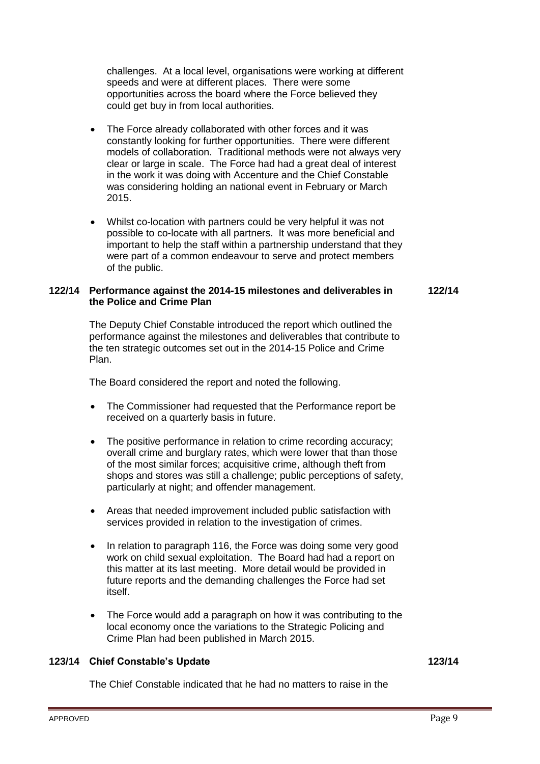challenges. At a local level, organisations were working at different speeds and were at different places. There were some opportunities across the board where the Force believed they could get buy in from local authorities.

- The Force already collaborated with other forces and it was constantly looking for further opportunities. There were different models of collaboration. Traditional methods were not always very clear or large in scale. The Force had had a great deal of interest in the work it was doing with Accenture and the Chief Constable was considering holding an national event in February or March 2015.
- Whilst co-location with partners could be very helpful it was not possible to co-locate with all partners. It was more beneficial and important to help the staff within a partnership understand that they were part of a common endeavour to serve and protect members of the public.

#### **122/14 Performance against the 2014-15 milestones and deliverables in the Police and Crime Plan 122/14**

The Deputy Chief Constable introduced the report which outlined the performance against the milestones and deliverables that contribute to the ten strategic outcomes set out in the 2014-15 Police and Crime Plan.

The Board considered the report and noted the following.

- The Commissioner had requested that the Performance report be received on a quarterly basis in future.
- The positive performance in relation to crime recording accuracy; overall crime and burglary rates, which were lower that than those of the most similar forces; acquisitive crime, although theft from shops and stores was still a challenge; public perceptions of safety, particularly at night; and offender management.
- Areas that needed improvement included public satisfaction with services provided in relation to the investigation of crimes.
- In relation to paragraph 116, the Force was doing some very good work on child sexual exploitation. The Board had had a report on this matter at its last meeting. More detail would be provided in future reports and the demanding challenges the Force had set itself.
- The Force would add a paragraph on how it was contributing to the local economy once the variations to the Strategic Policing and Crime Plan had been published in March 2015.

# **123/14 Chief Constable's Update 123/14**

The Chief Constable indicated that he had no matters to raise in the